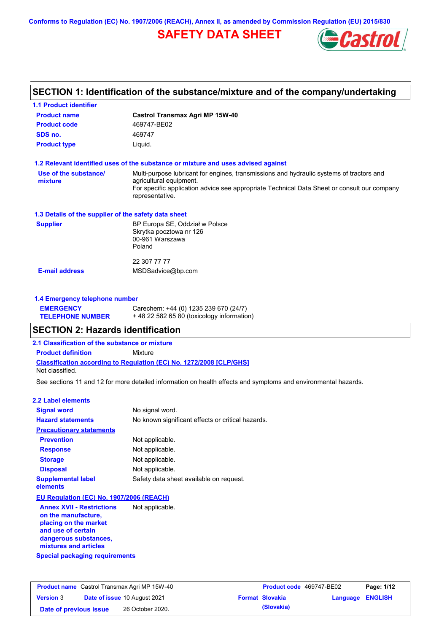**Conforms to Regulation (EC) No. 1907/2006 (REACH), Annex II, as amended by Commission Regulation (EU) 2015/830**

# **SAFETY DATA SHEET**



# **SECTION 1: Identification of the substance/mixture and of the company/undertaking**

| <b>1.1 Product identifier</b>                        |                                                                                                                                                                                                                                       |
|------------------------------------------------------|---------------------------------------------------------------------------------------------------------------------------------------------------------------------------------------------------------------------------------------|
| <b>Product name</b>                                  | Castrol Transmax Agri MP 15W-40                                                                                                                                                                                                       |
| <b>Product code</b>                                  | 469747-BE02                                                                                                                                                                                                                           |
| SDS no.                                              | 469747                                                                                                                                                                                                                                |
| <b>Product type</b>                                  | Liquid.                                                                                                                                                                                                                               |
|                                                      | 1.2 Relevant identified uses of the substance or mixture and uses advised against                                                                                                                                                     |
| Use of the substance/<br>mixture                     | Multi-purpose lubricant for engines, transmissions and hydraulic systems of tractors and<br>agricultural equipment.<br>For specific application advice see appropriate Technical Data Sheet or consult our company<br>representative. |
| 1.3 Details of the supplier of the safety data sheet |                                                                                                                                                                                                                                       |
| <b>Supplier</b>                                      | BP Europa SE, Oddział w Polsce<br>Skrytka pocztowa nr 126<br>00-961 Warszawa<br>Poland                                                                                                                                                |
|                                                      | 22 307 77 77                                                                                                                                                                                                                          |
| <b>E-mail address</b>                                | MSDSadvice@bp.com                                                                                                                                                                                                                     |
| 1.4 Emergency telephone number                       |                                                                                                                                                                                                                                       |
| <b>EMERGENCY</b><br><b>TELEPHONE NUMBER</b>          | Carechem: +44 (0) 1235 239 670 (24/7)<br>+48 22 582 65 80 (toxicology information)                                                                                                                                                    |
| <b>SECTION 2: Hazards identification</b>             |                                                                                                                                                                                                                                       |
| 2.1 Classification of the substance or mixture       |                                                                                                                                                                                                                                       |
| <b>Product definition</b>                            | Mixture                                                                                                                                                                                                                               |
| Not classified.                                      | Classification according to Regulation (EC) No. 1272/2008 [CLP/GHS]                                                                                                                                                                   |
|                                                      | See sections 11 and 12 for more detailed information on health effects and symptoms and environmental hazards.                                                                                                                        |
| 2.2 Label elements                                   |                                                                                                                                                                                                                                       |
| <b>Signal word</b>                                   | No signal word.                                                                                                                                                                                                                       |
| <b>Hazard statements</b>                             | No known significant effects or critical hazards.                                                                                                                                                                                     |
| <b>Precautionary statements</b>                      |                                                                                                                                                                                                                                       |
| <b>Prevention</b>                                    | Not applicable.                                                                                                                                                                                                                       |
| <b>Response</b>                                      | Not applicable.                                                                                                                                                                                                                       |
| <b>Storage</b>                                       | Not applicable.                                                                                                                                                                                                                       |
| <b>Disposal</b>                                      | Not applicable.                                                                                                                                                                                                                       |
| <b>Supplemental label</b>                            | Safety data sheet available on request.                                                                                                                                                                                               |

**EU Regulation (EC) No. 1907/2006 (REACH)**

**elements**

**Special packaging requirements Annex XVII - Restrictions on the manufacture, placing on the market and use of certain dangerous substances, mixtures and articles** Not applicable.

|                        | <b>Product name</b> Castrol Transmax Agri MP 15W-40 | <b>Product code</b> 469747-BE02 |                         | Page: 1/12 |
|------------------------|-----------------------------------------------------|---------------------------------|-------------------------|------------|
| <b>Version 3</b>       | <b>Date of issue 10 August 2021</b>                 | <b>Format Slovakia</b>          | <b>Language ENGLISH</b> |            |
| Date of previous issue | 26 October 2020.                                    | (Slovakia)                      |                         |            |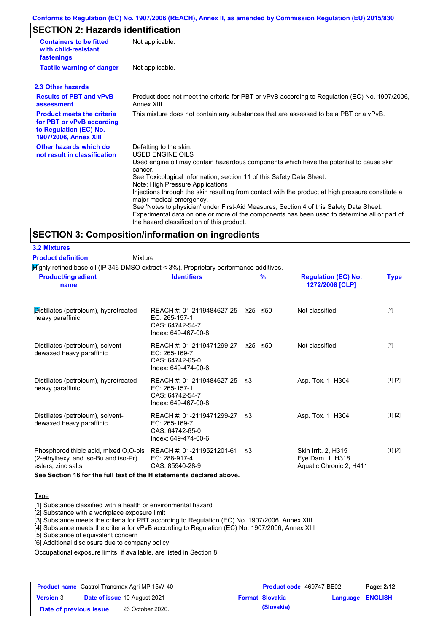#### **Conforms to Regulation (EC) No. 1907/2006 (REACH), Annex II, as amended by Commission Regulation (EU) 2015/830**

# **SECTION 2: Hazards identification**

| <b>Containers to be fitted</b><br>with child-resistant<br>fastenings                                                     | Not applicable.                                                                                                                                                                                                                                                                                                                                                                                                                                                                                                                                                                                                                        |
|--------------------------------------------------------------------------------------------------------------------------|----------------------------------------------------------------------------------------------------------------------------------------------------------------------------------------------------------------------------------------------------------------------------------------------------------------------------------------------------------------------------------------------------------------------------------------------------------------------------------------------------------------------------------------------------------------------------------------------------------------------------------------|
| <b>Tactile warning of danger</b>                                                                                         | Not applicable.                                                                                                                                                                                                                                                                                                                                                                                                                                                                                                                                                                                                                        |
| 2.3 Other hazards                                                                                                        |                                                                                                                                                                                                                                                                                                                                                                                                                                                                                                                                                                                                                                        |
| <b>Results of PBT and vPvB</b><br>assessment                                                                             | Product does not meet the criteria for PBT or vPvB according to Regulation (EC) No. 1907/2006,<br>Annex XIII.                                                                                                                                                                                                                                                                                                                                                                                                                                                                                                                          |
| <b>Product meets the criteria</b><br>for PBT or vPvB according<br>to Regulation (EC) No.<br><b>1907/2006, Annex XIII</b> | This mixture does not contain any substances that are assessed to be a PBT or a vPvB.                                                                                                                                                                                                                                                                                                                                                                                                                                                                                                                                                  |
| Other hazards which do<br>not result in classification                                                                   | Defatting to the skin.<br>USED ENGINE OILS<br>Used engine oil may contain hazardous components which have the potential to cause skin<br>cancer.<br>See Toxicological Information, section 11 of this Safety Data Sheet.<br>Note: High Pressure Applications<br>Injections through the skin resulting from contact with the product at high pressure constitute a<br>major medical emergency.<br>See 'Notes to physician' under First-Aid Measures, Section 4 of this Safety Data Sheet.<br>Experimental data on one or more of the components has been used to determine all or part of<br>the hazard classification of this product. |

#### **SECTION 3: Composition/information on ingredients**

**3.2 Mixtures**

**Product definition**

Mixture

Highly refined base oil (IP 346 DMSO extract < 3%). Proprietary performance additives.

| <b>Product/ingredient</b><br>name                                                                   | <b>Identifiers</b>                                                                             | $\frac{9}{6}$ | <b>Regulation (EC) No.</b><br>1272/2008 [CLP]                      | <b>Type</b> |
|-----------------------------------------------------------------------------------------------------|------------------------------------------------------------------------------------------------|---------------|--------------------------------------------------------------------|-------------|
| Distillates (petroleum), hydrotreated<br>heavy paraffinic                                           | REACH #: 01-2119484627-25 ≥25 - ≤50<br>EC: 265-157-1<br>CAS: 64742-54-7<br>Index: 649-467-00-8 |               | Not classified.                                                    | $[2]$       |
| Distillates (petroleum), solvent-<br>dewaxed heavy paraffinic                                       | REACH #: 01-2119471299-27 ≥25 - ≤50<br>EC: 265-169-7<br>CAS: 64742-65-0<br>Index: 649-474-00-6 |               | Not classified.                                                    | $[2]$       |
| Distillates (petroleum), hydrotreated<br>heavy paraffinic                                           | REACH #: 01-2119484627-25 ≤3<br>EC: 265-157-1<br>CAS: 64742-54-7<br>Index: 649-467-00-8        |               | Asp. Tox. 1, H304                                                  | [1] [2]     |
| Distillates (petroleum), solvent-<br>dewaxed heavy paraffinic                                       | REACH #: 01-2119471299-27 ≤3<br>EC: 265-169-7<br>CAS: 64742-65-0<br>Index: 649-474-00-6        |               | Asp. Tox. 1, H304                                                  | [1] [2]     |
| Phosphorodithioic acid, mixed O,O-bis<br>(2-ethylhexyl and iso-Bu and iso-Pr)<br>esters, zinc salts | REACH #: 01-2119521201-61<br>EC: 288-917-4<br>CAS: 85940-28-9                                  | -≤3           | Skin Irrit. 2, H315<br>Eye Dam. 1, H318<br>Aquatic Chronic 2, H411 | [1] [2]     |

**See Section 16 for the full text of the H statements declared above.**

#### Type

[1] Substance classified with a health or environmental hazard

[2] Substance with a workplace exposure limit

[3] Substance meets the criteria for PBT according to Regulation (EC) No. 1907/2006, Annex XIII

[4] Substance meets the criteria for vPvB according to Regulation (EC) No. 1907/2006, Annex XIII

[5] Substance of equivalent concern

[6] Additional disclosure due to company policy

Occupational exposure limits, if available, are listed in Section 8.

|                        | <b>Product name</b> Castrol Transmax Agri MP 15W-40 | Product code 469747-BE02 |                         | Page: 2/12 |
|------------------------|-----------------------------------------------------|--------------------------|-------------------------|------------|
| <b>Version 3</b>       | <b>Date of issue 10 August 2021</b>                 | <b>Format Slovakia</b>   | <b>Language ENGLISH</b> |            |
| Date of previous issue | 26 October 2020.                                    | (Slovakia)               |                         |            |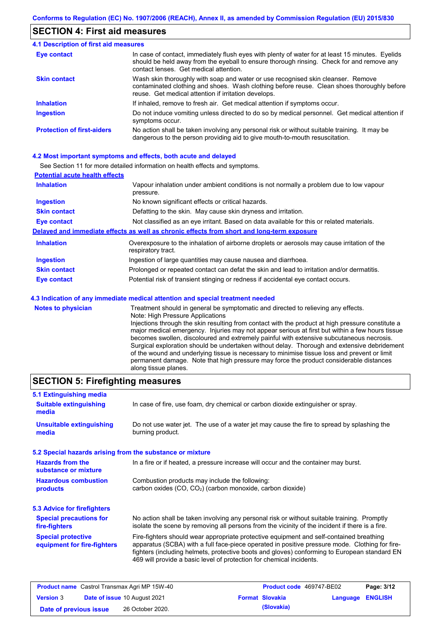### **SECTION 4: First aid measures**

#### Do not induce vomiting unless directed to do so by medical personnel. Get medical attention if symptoms occur. In case of contact, immediately flush eyes with plenty of water for at least 15 minutes. Eyelids should be held away from the eyeball to ensure thorough rinsing. Check for and remove any contact lenses. Get medical attention. **4.1 Description of first aid measures** If inhaled, remove to fresh air. Get medical attention if symptoms occur. **Ingestion Inhalation Eye contact Protection of first-aiders** No action shall be taken involving any personal risk or without suitable training. It may be dangerous to the person providing aid to give mouth-to-mouth resuscitation. **Skin contact** Wash skin thoroughly with soap and water or use recognised skin cleanser. Remove contaminated clothing and shoes. Wash clothing before reuse. Clean shoes thoroughly before reuse. Get medical attention if irritation develops.

#### **4.2 Most important symptoms and effects, both acute and delayed**

See Section 11 for more detailed information on health effects and symptoms.

| <b>Potential acute health effects</b> |                                                                                                                   |
|---------------------------------------|-------------------------------------------------------------------------------------------------------------------|
| <b>Inhalation</b>                     | Vapour inhalation under ambient conditions is not normally a problem due to low vapour<br>pressure.               |
| <b>Ingestion</b>                      | No known significant effects or critical hazards.                                                                 |
| <b>Skin contact</b>                   | Defatting to the skin. May cause skin dryness and irritation.                                                     |
| <b>Eye contact</b>                    | Not classified as an eye irritant. Based on data available for this or related materials.                         |
|                                       | Delayed and immediate effects as well as chronic effects from short and long-term exposure                        |
| <b>Inhalation</b>                     | Overexposure to the inhalation of airborne droplets or aerosols may cause irritation of the<br>respiratory tract. |
| <b>Ingestion</b>                      | Ingestion of large quantities may cause nausea and diarrhoea.                                                     |
| <b>Skin contact</b>                   | Prolonged or repeated contact can defat the skin and lead to irritation and/or dermatitis.                        |
| Eye contact                           | Potential risk of transient stinging or redness if accidental eye contact occurs.                                 |
|                                       | 4.3 Indication of any immediate medical attention and special treatment needed                                    |
| Notes to physician                    | Treatment should in general he symptomatic and directed to relieving any effects                                  |

| <b>Notes to physician</b> | Treatment should in general be symptomatic and directed to relieving any effects.                                                                                                      |
|---------------------------|----------------------------------------------------------------------------------------------------------------------------------------------------------------------------------------|
|                           | Note: High Pressure Applications                                                                                                                                                       |
|                           | Injections through the skin resulting from contact with the product at high pressure constitute a                                                                                      |
|                           | major medical emergency. Injuries may not appear serious at first but within a few hours tissue                                                                                        |
|                           | becomes swollen, discoloured and extremely painful with extensive subcutaneous necrosis.                                                                                               |
|                           | Surgical exploration should be undertaken without delay. Thorough and extensive debridement                                                                                            |
|                           | of the wound and underlying tissue is necessary to minimise tissue loss and prevent or limit<br>permanent damage. Note that high pressure may force the product considerable distances |
|                           | along tissue planes.                                                                                                                                                                   |

# **SECTION 5: Firefighting measures**

| 5.1 Extinguishing media                                   |                                                                                                                                                                                                                                                                                                                                                                   |
|-----------------------------------------------------------|-------------------------------------------------------------------------------------------------------------------------------------------------------------------------------------------------------------------------------------------------------------------------------------------------------------------------------------------------------------------|
| <b>Suitable extinguishing</b><br>media                    | In case of fire, use foam, dry chemical or carbon dioxide extinguisher or spray.                                                                                                                                                                                                                                                                                  |
| <b>Unsuitable extinguishing</b><br>media                  | Do not use water jet. The use of a water jet may cause the fire to spread by splashing the<br>burning product.                                                                                                                                                                                                                                                    |
| 5.2 Special hazards arising from the substance or mixture |                                                                                                                                                                                                                                                                                                                                                                   |
| <b>Hazards from the</b><br>substance or mixture           | In a fire or if heated, a pressure increase will occur and the container may burst.                                                                                                                                                                                                                                                                               |
| <b>Hazardous combustion</b><br>products                   | Combustion products may include the following:<br>carbon oxides (CO, CO <sub>2</sub> ) (carbon monoxide, carbon dioxide)                                                                                                                                                                                                                                          |
| 5.3 Advice for firefighters                               |                                                                                                                                                                                                                                                                                                                                                                   |
| <b>Special precautions for</b><br>fire-fighters           | No action shall be taken involving any personal risk or without suitable training. Promptly<br>isolate the scene by removing all persons from the vicinity of the incident if there is a fire.                                                                                                                                                                    |
| <b>Special protective</b><br>equipment for fire-fighters  | Fire-fighters should wear appropriate protective equipment and self-contained breathing<br>apparatus (SCBA) with a full face-piece operated in positive pressure mode. Clothing for fire-<br>fighters (including helmets, protective boots and gloves) conforming to European standard EN<br>469 will provide a basic level of protection for chemical incidents. |

|                        | <b>Product name</b> Castrol Transmax Agri MP 15W-40 | Product code 469747-BE02 |                         | Page: 3/12 |
|------------------------|-----------------------------------------------------|--------------------------|-------------------------|------------|
| <b>Version 3</b>       | <b>Date of issue 10 August 2021</b>                 | <b>Format Slovakia</b>   | <b>Language ENGLISH</b> |            |
| Date of previous issue | 26 October 2020.                                    | (Slovakia)               |                         |            |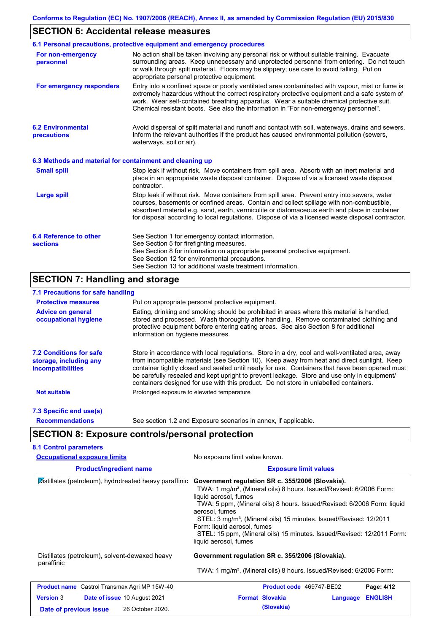# **SECTION 6: Accidental release measures**

|                                                          | 6.1 Personal precautions, protective equipment and emergency procedures                                                                                                                                                                                                                                                                                                                        |
|----------------------------------------------------------|------------------------------------------------------------------------------------------------------------------------------------------------------------------------------------------------------------------------------------------------------------------------------------------------------------------------------------------------------------------------------------------------|
| For non-emergency<br>personnel                           | No action shall be taken involving any personal risk or without suitable training. Evacuate<br>surrounding areas. Keep unnecessary and unprotected personnel from entering. Do not touch<br>or walk through spilt material. Floors may be slippery; use care to avoid falling. Put on<br>appropriate personal protective equipment.                                                            |
| For emergency responders                                 | Entry into a confined space or poorly ventilated area contaminated with vapour, mist or fume is<br>extremely hazardous without the correct respiratory protective equipment and a safe system of<br>work. Wear self-contained breathing apparatus. Wear a suitable chemical protective suit.<br>Chemical resistant boots. See also the information in "For non-emergency personnel".           |
| <b>6.2 Environmental</b><br>precautions                  | Avoid dispersal of spilt material and runoff and contact with soil, waterways, drains and sewers.<br>Inform the relevant authorities if the product has caused environmental pollution (sewers,<br>waterways, soil or air).                                                                                                                                                                    |
| 6.3 Methods and material for containment and cleaning up |                                                                                                                                                                                                                                                                                                                                                                                                |
| <b>Small spill</b>                                       | Stop leak if without risk. Move containers from spill area. Absorb with an inert material and<br>place in an appropriate waste disposal container. Dispose of via a licensed waste disposal<br>contractor.                                                                                                                                                                                     |
| <b>Large spill</b>                                       | Stop leak if without risk. Move containers from spill area. Prevent entry into sewers, water<br>courses, basements or confined areas. Contain and collect spillage with non-combustible,<br>absorbent material e.g. sand, earth, vermiculite or diatomaceous earth and place in container<br>for disposal according to local regulations. Dispose of via a licensed waste disposal contractor. |
| 6.4 Reference to other<br><b>sections</b>                | See Section 1 for emergency contact information.<br>See Section 5 for firefighting measures.<br>See Section 8 for information on appropriate personal protective equipment.<br>See Section 12 for environmental precautions.<br>See Section 13 for additional waste treatment information.                                                                                                     |

# **SECTION 7: Handling and storage**

# **7.1 Precautions for safe handling**

| <b>Protective measures</b>                                                           | Put on appropriate personal protective equipment.                                                                                                                                                                                                                                                                                                                                                                                                                                        |
|--------------------------------------------------------------------------------------|------------------------------------------------------------------------------------------------------------------------------------------------------------------------------------------------------------------------------------------------------------------------------------------------------------------------------------------------------------------------------------------------------------------------------------------------------------------------------------------|
| <b>Advice on general</b><br>occupational hygiene                                     | Eating, drinking and smoking should be prohibited in areas where this material is handled.<br>stored and processed. Wash thoroughly after handling. Remove contaminated clothing and<br>protective equipment before entering eating areas. See also Section 8 for additional<br>information on hygiene measures.                                                                                                                                                                         |
| <b>7.2 Conditions for safe</b><br>storage, including any<br><i>incompatibilities</i> | Store in accordance with local requlations. Store in a dry, cool and well-ventilated area, away<br>from incompatible materials (see Section 10). Keep away from heat and direct sunlight. Keep<br>container tightly closed and sealed until ready for use. Containers that have been opened must<br>be carefully resealed and kept upright to prevent leakage. Store and use only in equipment/<br>containers designed for use with this product. Do not store in unlabelled containers. |
| <b>Not suitable</b>                                                                  | Prolonged exposure to elevated temperature                                                                                                                                                                                                                                                                                                                                                                                                                                               |
| 7.3 Specific end use(s)                                                              |                                                                                                                                                                                                                                                                                                                                                                                                                                                                                          |
| <b>Recommendations</b>                                                               | See section 1.2 and Exposure scenarios in annex, if applicable.                                                                                                                                                                                                                                                                                                                                                                                                                          |

# **SECTION 8: Exposure controls/personal protection**

| <b>Occupational exposure limits</b>                          | No exposure limit value known.                                                                                                                                                                                                                                                                                                                                                                                                                                                |
|--------------------------------------------------------------|-------------------------------------------------------------------------------------------------------------------------------------------------------------------------------------------------------------------------------------------------------------------------------------------------------------------------------------------------------------------------------------------------------------------------------------------------------------------------------|
| <b>Product/ingredient name</b>                               | <b>Exposure limit values</b>                                                                                                                                                                                                                                                                                                                                                                                                                                                  |
| Distillates (petroleum), hydrotreated heavy paraffinic       | Government regulation SR c. 355/2006 (Slovakia).<br>TWA: 1 mg/m <sup>3</sup> , (Mineral oils) 8 hours. Issued/Revised: 6/2006 Form:<br>liquid aerosol, fumes<br>TWA: 5 ppm, (Mineral oils) 8 hours. Issued/Revised: 6/2006 Form: liquid<br>aerosol, fumes<br>STEL: 3 mg/m <sup>3</sup> , (Mineral oils) 15 minutes. Issued/Revised: 12/2011<br>Form: liquid aerosol, fumes<br>STEL: 15 ppm, (Mineral oils) 15 minutes. Issued/Revised: 12/2011 Form:<br>liquid aerosol, fumes |
| Distillates (petroleum), solvent-dewaxed heavy<br>paraffinic | Government regulation SR c. 355/2006 (Slovakia).                                                                                                                                                                                                                                                                                                                                                                                                                              |
|                                                              | TWA: 1 mg/m <sup>3</sup> , (Mineral oils) 8 hours. Issued/Revised: 6/2006 Form:                                                                                                                                                                                                                                                                                                                                                                                               |
| <b>Product name</b> Castrol Transmax Agri MP 15W-40          | Product code 469747-BE02<br>Page: 4/12                                                                                                                                                                                                                                                                                                                                                                                                                                        |
| Date of issue 10 August 2021<br><b>Version 3</b>             | <b>Format Slovakia</b><br><b>ENGLISH</b><br>Language                                                                                                                                                                                                                                                                                                                                                                                                                          |
| 26 October 2020.<br>Date of previous issue                   | (Slovakia)                                                                                                                                                                                                                                                                                                                                                                                                                                                                    |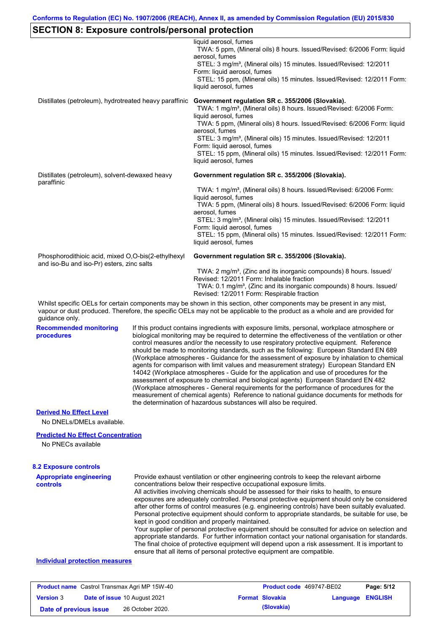|                                                                                                 | <b>SECTION 8: Exposure controls/personal protection</b>                                                                                                                                                                                                                                                                                                                                                                                                                                                                                                                                                                                                                                                                                                                                                                                                                                                                                                                                                                    |
|-------------------------------------------------------------------------------------------------|----------------------------------------------------------------------------------------------------------------------------------------------------------------------------------------------------------------------------------------------------------------------------------------------------------------------------------------------------------------------------------------------------------------------------------------------------------------------------------------------------------------------------------------------------------------------------------------------------------------------------------------------------------------------------------------------------------------------------------------------------------------------------------------------------------------------------------------------------------------------------------------------------------------------------------------------------------------------------------------------------------------------------|
|                                                                                                 | liquid aerosol. fumes<br>TWA: 5 ppm, (Mineral oils) 8 hours. Issued/Revised: 6/2006 Form: liquid<br>aerosol, fumes                                                                                                                                                                                                                                                                                                                                                                                                                                                                                                                                                                                                                                                                                                                                                                                                                                                                                                         |
|                                                                                                 | STEL: 3 mg/m <sup>3</sup> , (Mineral oils) 15 minutes. Issued/Revised: 12/2011<br>Form: liquid aerosol, fumes                                                                                                                                                                                                                                                                                                                                                                                                                                                                                                                                                                                                                                                                                                                                                                                                                                                                                                              |
|                                                                                                 | STEL: 15 ppm, (Mineral oils) 15 minutes. Issued/Revised: 12/2011 Form:<br>liquid aerosol, fumes                                                                                                                                                                                                                                                                                                                                                                                                                                                                                                                                                                                                                                                                                                                                                                                                                                                                                                                            |
| Distillates (petroleum), hydrotreated heavy paraffinic                                          | Government regulation SR c. 355/2006 (Slovakia).<br>TWA: 1 mg/m <sup>3</sup> , (Mineral oils) 8 hours. Issued/Revised: 6/2006 Form:<br>liquid aerosol, fumes                                                                                                                                                                                                                                                                                                                                                                                                                                                                                                                                                                                                                                                                                                                                                                                                                                                               |
|                                                                                                 | TWA: 5 ppm, (Mineral oils) 8 hours. Issued/Revised: 6/2006 Form: liquid<br>aerosol, fumes                                                                                                                                                                                                                                                                                                                                                                                                                                                                                                                                                                                                                                                                                                                                                                                                                                                                                                                                  |
|                                                                                                 | STEL: 3 mg/m <sup>3</sup> , (Mineral oils) 15 minutes. Issued/Revised: 12/2011<br>Form: liquid aerosol, fumes                                                                                                                                                                                                                                                                                                                                                                                                                                                                                                                                                                                                                                                                                                                                                                                                                                                                                                              |
|                                                                                                 | STEL: 15 ppm, (Mineral oils) 15 minutes. Issued/Revised: 12/2011 Form:<br>liquid aerosol, fumes                                                                                                                                                                                                                                                                                                                                                                                                                                                                                                                                                                                                                                                                                                                                                                                                                                                                                                                            |
| Distillates (petroleum), solvent-dewaxed heavy<br>paraffinic                                    | Government regulation SR c. 355/2006 (Slovakia).                                                                                                                                                                                                                                                                                                                                                                                                                                                                                                                                                                                                                                                                                                                                                                                                                                                                                                                                                                           |
|                                                                                                 | TWA: 1 mg/m <sup>3</sup> , (Mineral oils) 8 hours. Issued/Revised: 6/2006 Form:<br>liquid aerosol, fumes                                                                                                                                                                                                                                                                                                                                                                                                                                                                                                                                                                                                                                                                                                                                                                                                                                                                                                                   |
|                                                                                                 | TWA: 5 ppm, (Mineral oils) 8 hours. Issued/Revised: 6/2006 Form: liquid<br>aerosol, fumes                                                                                                                                                                                                                                                                                                                                                                                                                                                                                                                                                                                                                                                                                                                                                                                                                                                                                                                                  |
|                                                                                                 | STEL: 3 mg/m <sup>3</sup> , (Mineral oils) 15 minutes. Issued/Revised: 12/2011<br>Form: liquid aerosol, fumes                                                                                                                                                                                                                                                                                                                                                                                                                                                                                                                                                                                                                                                                                                                                                                                                                                                                                                              |
|                                                                                                 | STEL: 15 ppm, (Mineral oils) 15 minutes. Issued/Revised: 12/2011 Form:<br>liquid aerosol, fumes                                                                                                                                                                                                                                                                                                                                                                                                                                                                                                                                                                                                                                                                                                                                                                                                                                                                                                                            |
| Phosphorodithioic acid, mixed O,O-bis(2-ethylhexyl<br>and iso-Bu and iso-Pr) esters, zinc salts | Government regulation SR c. 355/2006 (Slovakia).                                                                                                                                                                                                                                                                                                                                                                                                                                                                                                                                                                                                                                                                                                                                                                                                                                                                                                                                                                           |
|                                                                                                 | TWA: 2 mg/m <sup>3</sup> , (Zinc and its inorganic compounds) 8 hours. Issued/<br>Revised: 12/2011 Form: Inhalable fraction<br>TWA: 0.1 mg/m <sup>3</sup> , (Zinc and its inorganic compounds) 8 hours. Issued/<br>Revised: 12/2011 Form: Respirable fraction                                                                                                                                                                                                                                                                                                                                                                                                                                                                                                                                                                                                                                                                                                                                                              |
| guidance only.                                                                                  | Whilst specific OELs for certain components may be shown in this section, other components may be present in any mist,<br>vapour or dust produced. Therefore, the specific OELs may not be applicable to the product as a whole and are provided for                                                                                                                                                                                                                                                                                                                                                                                                                                                                                                                                                                                                                                                                                                                                                                       |
| <b>Recommended monitoring</b><br>procedures                                                     | If this product contains ingredients with exposure limits, personal, workplace atmosphere or<br>biological monitoring may be required to determine the effectiveness of the ventilation or other<br>control measures and/or the necessity to use respiratory protective equipment. Reference<br>should be made to monitoring standards, such as the following: European Standard EN 689<br>(Workplace atmospheres - Guidance for the assessment of exposure by inhalation to chemical<br>agents for comparison with limit values and measurement strategy) European Standard EN<br>14042 (Workplace atmospheres - Guide for the application and use of procedures for the<br>assessment of exposure to chemical and biological agents) European Standard EN 482<br>(Workplace atmospheres - General requirements for the performance of procedures for the<br>measurement of chemical agents) Reference to national guidance documents for methods for<br>the determination of hazardous substances will also be required. |
| <b>Derived No Effect Level</b><br>No DNELs/DMELs available.                                     |                                                                                                                                                                                                                                                                                                                                                                                                                                                                                                                                                                                                                                                                                                                                                                                                                                                                                                                                                                                                                            |
| <b>Predicted No Effect Concentration</b>                                                        |                                                                                                                                                                                                                                                                                                                                                                                                                                                                                                                                                                                                                                                                                                                                                                                                                                                                                                                                                                                                                            |
| No PNECs available                                                                              |                                                                                                                                                                                                                                                                                                                                                                                                                                                                                                                                                                                                                                                                                                                                                                                                                                                                                                                                                                                                                            |
| <b>8.2 Exposure controls</b>                                                                    |                                                                                                                                                                                                                                                                                                                                                                                                                                                                                                                                                                                                                                                                                                                                                                                                                                                                                                                                                                                                                            |
| <b>Appropriate engineering</b><br><b>controls</b>                                               | Provide exhaust ventilation or other engineering controls to keep the relevant airborne<br>concentrations below their respective occupational exposure limits.<br>All activities involving chemicals should be assessed for their risks to health, to ensure<br>exposures are adequately controlled. Personal protective equipment should only be considered<br>after other forms of control measures (e.g. engineering controls) have been suitably evaluated.<br>Personal protective equipment should conform to appropriate standards, be suitable for use, be                                                                                                                                                                                                                                                                                                                                                                                                                                                          |

#### **Individual protection measures**

|                        | <b>Product name</b> Castrol Transmax Agri MP 15W-40 | <b>Product code</b> 469747-BE02 |                         | Page: 5/12 |
|------------------------|-----------------------------------------------------|---------------------------------|-------------------------|------------|
| <b>Version 3</b>       | <b>Date of issue 10 August 2021</b>                 | <b>Format Slovakia</b>          | <b>Language ENGLISH</b> |            |
| Date of previous issue | 26 October 2020.                                    | (Slovakia)                      |                         |            |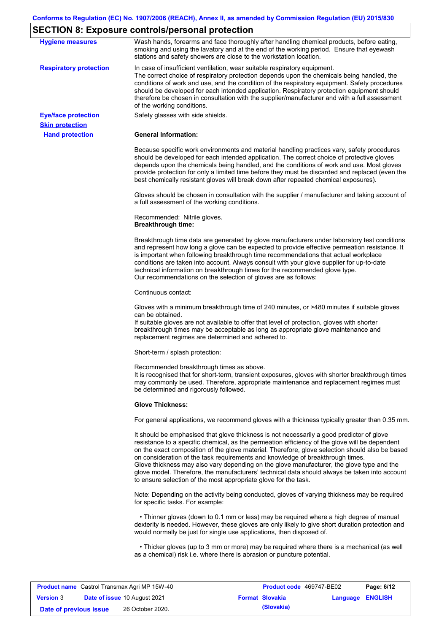# **SECTION 8: Exposure controls/personal protection**

|                               | <b>Expediate controller personal protoction</b>                                                                                                                                                                                                                                                                                                                                                                                                                                                                                                                                                                                                   |
|-------------------------------|---------------------------------------------------------------------------------------------------------------------------------------------------------------------------------------------------------------------------------------------------------------------------------------------------------------------------------------------------------------------------------------------------------------------------------------------------------------------------------------------------------------------------------------------------------------------------------------------------------------------------------------------------|
| <b>Hygiene measures</b>       | Wash hands, forearms and face thoroughly after handling chemical products, before eating,<br>smoking and using the lavatory and at the end of the working period. Ensure that eyewash<br>stations and safety showers are close to the workstation location.                                                                                                                                                                                                                                                                                                                                                                                       |
| <b>Respiratory protection</b> | In case of insufficient ventilation, wear suitable respiratory equipment.<br>The correct choice of respiratory protection depends upon the chemicals being handled, the<br>conditions of work and use, and the condition of the respiratory equipment. Safety procedures<br>should be developed for each intended application. Respiratory protection equipment should<br>therefore be chosen in consultation with the supplier/manufacturer and with a full assessment<br>of the working conditions.                                                                                                                                             |
| <b>Eye/face protection</b>    | Safety glasses with side shields.                                                                                                                                                                                                                                                                                                                                                                                                                                                                                                                                                                                                                 |
| <b>Skin protection</b>        |                                                                                                                                                                                                                                                                                                                                                                                                                                                                                                                                                                                                                                                   |
| <b>Hand protection</b>        | <b>General Information:</b>                                                                                                                                                                                                                                                                                                                                                                                                                                                                                                                                                                                                                       |
|                               | Because specific work environments and material handling practices vary, safety procedures<br>should be developed for each intended application. The correct choice of protective gloves<br>depends upon the chemicals being handled, and the conditions of work and use. Most gloves<br>provide protection for only a limited time before they must be discarded and replaced (even the<br>best chemically resistant gloves will break down after repeated chemical exposures).                                                                                                                                                                  |
|                               | Gloves should be chosen in consultation with the supplier / manufacturer and taking account of<br>a full assessment of the working conditions.                                                                                                                                                                                                                                                                                                                                                                                                                                                                                                    |
|                               | Recommended: Nitrile gloves.<br><b>Breakthrough time:</b>                                                                                                                                                                                                                                                                                                                                                                                                                                                                                                                                                                                         |
|                               | Breakthrough time data are generated by glove manufacturers under laboratory test conditions<br>and represent how long a glove can be expected to provide effective permeation resistance. It<br>is important when following breakthrough time recommendations that actual workplace<br>conditions are taken into account. Always consult with your glove supplier for up-to-date<br>technical information on breakthrough times for the recommended glove type.<br>Our recommendations on the selection of gloves are as follows:                                                                                                                |
|                               | Continuous contact:                                                                                                                                                                                                                                                                                                                                                                                                                                                                                                                                                                                                                               |
|                               | Gloves with a minimum breakthrough time of 240 minutes, or >480 minutes if suitable gloves<br>can be obtained.<br>If suitable gloves are not available to offer that level of protection, gloves with shorter<br>breakthrough times may be acceptable as long as appropriate glove maintenance and<br>replacement regimes are determined and adhered to.                                                                                                                                                                                                                                                                                          |
|                               | Short-term / splash protection:                                                                                                                                                                                                                                                                                                                                                                                                                                                                                                                                                                                                                   |
|                               | Recommended breakthrough times as above.<br>It is recognised that for short-term, transient exposures, gloves with shorter breakthrough times<br>may commonly be used. Therefore, appropriate maintenance and replacement regimes must<br>be determined and rigorously followed.                                                                                                                                                                                                                                                                                                                                                                  |
|                               | <b>Glove Thickness:</b>                                                                                                                                                                                                                                                                                                                                                                                                                                                                                                                                                                                                                           |
|                               | For general applications, we recommend gloves with a thickness typically greater than 0.35 mm.                                                                                                                                                                                                                                                                                                                                                                                                                                                                                                                                                    |
|                               | It should be emphasised that glove thickness is not necessarily a good predictor of glove<br>resistance to a specific chemical, as the permeation efficiency of the glove will be dependent<br>on the exact composition of the glove material. Therefore, glove selection should also be based<br>on consideration of the task requirements and knowledge of breakthrough times.<br>Glove thickness may also vary depending on the glove manufacturer, the glove type and the<br>glove model. Therefore, the manufacturers' technical data should always be taken into account<br>to ensure selection of the most appropriate glove for the task. |
|                               | Note: Depending on the activity being conducted, gloves of varying thickness may be required<br>for specific tasks. For example:                                                                                                                                                                                                                                                                                                                                                                                                                                                                                                                  |
|                               | • Thinner gloves (down to 0.1 mm or less) may be required where a high degree of manual<br>dexterity is needed. However, these gloves are only likely to give short duration protection and<br>would normally be just for single use applications, then disposed of.                                                                                                                                                                                                                                                                                                                                                                              |
|                               | • Thicker gloves (up to 3 mm or more) may be required where there is a mechanical (as well<br>as a chemical) risk i.e. where there is abrasion or puncture potential.                                                                                                                                                                                                                                                                                                                                                                                                                                                                             |

|                        | <b>Product name</b> Castrol Transmax Agri MP 15W-40 | <b>Product code</b> 469747-BE02 |                         | Page: 6/12 |
|------------------------|-----------------------------------------------------|---------------------------------|-------------------------|------------|
| <b>Version</b> 3       | <b>Date of issue 10 August 2021</b>                 | <b>Format Slovakia</b>          | <b>Language ENGLISH</b> |            |
| Date of previous issue | 26 October 2020.                                    | (Slovakia)                      |                         |            |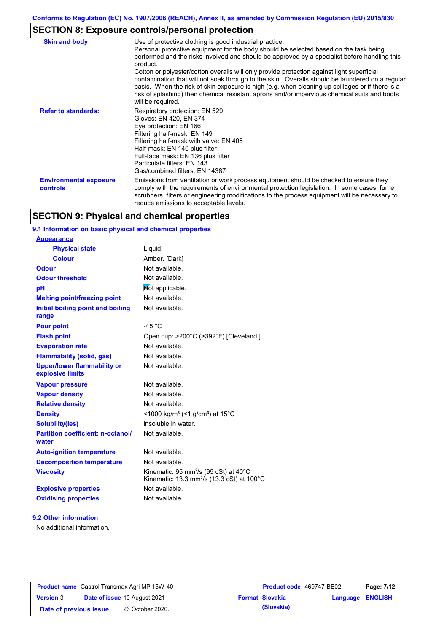# **SECTION 8: Exposure controls/personal protection**

| <b>Skin and body</b>                             | Use of protective clothing is good industrial practice.<br>Personal protective equipment for the body should be selected based on the task being<br>performed and the risks involved and should be approved by a specialist before handling this<br>product.<br>Cotton or polyester/cotton overalls will only provide protection against light superficial<br>contamination that will not soak through to the skin. Overalls should be laundered on a regular<br>basis. When the risk of skin exposure is high (e.g. when cleaning up spillages or if there is a<br>risk of splashing) then chemical resistant aprons and/or impervious chemical suits and boots<br>will be required. |
|--------------------------------------------------|---------------------------------------------------------------------------------------------------------------------------------------------------------------------------------------------------------------------------------------------------------------------------------------------------------------------------------------------------------------------------------------------------------------------------------------------------------------------------------------------------------------------------------------------------------------------------------------------------------------------------------------------------------------------------------------|
| <b>Refer to standards:</b>                       | Respiratory protection: EN 529<br>Gloves: EN 420, EN 374<br>Eye protection: EN 166<br>Filtering half-mask: EN 149<br>Filtering half-mask with valve: EN 405<br>Half-mask: EN 140 plus filter<br>Full-face mask: EN 136 plus filter<br>Particulate filters: EN 143<br>Gas/combined filters: EN 14387                                                                                                                                                                                                                                                                                                                                                                                   |
| <b>Environmental exposure</b><br><b>controls</b> | Emissions from ventilation or work process equipment should be checked to ensure they<br>comply with the requirements of environmental protection legislation. In some cases, fume<br>scrubbers, filters or engineering modifications to the process equipment will be necessary to<br>reduce emissions to acceptable levels.                                                                                                                                                                                                                                                                                                                                                         |

## **SECTION 9: Physical and chemical properties**

### **9.1 Information on basic physical and chemical properties**

| <u>Appearance</u>                                      |                                                                                                                                   |
|--------------------------------------------------------|-----------------------------------------------------------------------------------------------------------------------------------|
| <b>Physical state</b>                                  | Liquid.                                                                                                                           |
| <b>Colour</b>                                          | Amber. [Dark]                                                                                                                     |
| <b>Odour</b>                                           | Not available.                                                                                                                    |
| <b>Odour threshold</b>                                 | Not available.                                                                                                                    |
| рH                                                     | Not applicable.                                                                                                                   |
| <b>Melting point/freezing point</b>                    | Not available.                                                                                                                    |
| Initial boiling point and boiling<br>range             | Not available.                                                                                                                    |
| <b>Pour point</b>                                      | -45 $^{\circ}$ C                                                                                                                  |
| <b>Flash point</b>                                     | Open cup: >200°C (>392°F) [Cleveland.]                                                                                            |
| <b>Evaporation rate</b>                                | Not available.                                                                                                                    |
| <b>Flammability (solid, gas)</b>                       | Not available.                                                                                                                    |
| <b>Upper/lower flammability or</b><br>explosive limits | Not available.                                                                                                                    |
| <b>Vapour pressure</b>                                 | Not available.                                                                                                                    |
| <b>Vapour density</b>                                  | Not available.                                                                                                                    |
| <b>Relative density</b>                                | Not available.                                                                                                                    |
| <b>Density</b>                                         | <1000 kg/m <sup>3</sup> (<1 g/cm <sup>3</sup> ) at 15 <sup>°</sup> C                                                              |
| <b>Solubility(ies)</b>                                 | insoluble in water.                                                                                                               |
| <b>Partition coefficient: n-octanol/</b><br>water      | Not available.                                                                                                                    |
| <b>Auto-ignition temperature</b>                       | Not available.                                                                                                                    |
| <b>Decomposition temperature</b>                       | Not available.                                                                                                                    |
| <b>Viscosity</b>                                       | Kinematic: 95 mm <sup>2</sup> /s (95 cSt) at 40 $^{\circ}$ C<br>Kinematic: 13.3 mm <sup>2</sup> /s (13.3 cSt) at 100 $^{\circ}$ C |
| <b>Explosive properties</b>                            | Not available.                                                                                                                    |
| <b>Oxidising properties</b>                            | Not available.                                                                                                                    |
|                                                        |                                                                                                                                   |

#### **9.2 Other information**

**Appearance**

No additional information.

| <b>Product name</b> Castrol Transmax Agri MP 15W-40 |  |                                     | Product code 469747-BE02 |                        | Page: 7/12              |  |
|-----------------------------------------------------|--|-------------------------------------|--------------------------|------------------------|-------------------------|--|
| <b>Version 3</b>                                    |  | <b>Date of issue 10 August 2021</b> |                          | <b>Format Slovakia</b> | <b>Language ENGLISH</b> |  |
| Date of previous issue                              |  | 26 October 2020.                    |                          | (Slovakia)             |                         |  |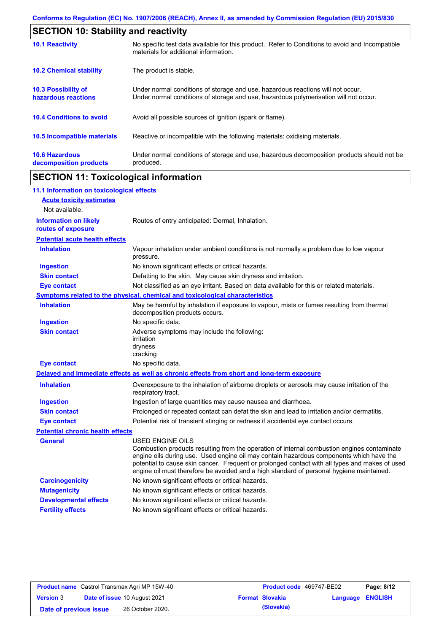| <b>SECTION 10: Stability and reactivity</b>     |                                                                                                                                                                         |
|-------------------------------------------------|-------------------------------------------------------------------------------------------------------------------------------------------------------------------------|
| <b>10.1 Reactivity</b>                          | No specific test data available for this product. Refer to Conditions to avoid and Incompatible<br>materials for additional information.                                |
| <b>10.2 Chemical stability</b>                  | The product is stable.                                                                                                                                                  |
| 10.3 Possibility of<br>hazardous reactions      | Under normal conditions of storage and use, hazardous reactions will not occur.<br>Under normal conditions of storage and use, hazardous polymerisation will not occur. |
| <b>10.4 Conditions to avoid</b>                 | Avoid all possible sources of ignition (spark or flame).                                                                                                                |
| 10.5 Incompatible materials                     | Reactive or incompatible with the following materials: oxidising materials.                                                                                             |
| <b>10.6 Hazardous</b><br>decomposition products | Under normal conditions of storage and use, hazardous decomposition products should not be<br>produced.                                                                 |

# **SECTION 11: Toxicological information**

 $\mathbf{r}$ 

| 11.1 Information on toxicological effects          |                                                                                                                                                                                                                                                                                                                                                                                                          |
|----------------------------------------------------|----------------------------------------------------------------------------------------------------------------------------------------------------------------------------------------------------------------------------------------------------------------------------------------------------------------------------------------------------------------------------------------------------------|
| <b>Acute toxicity estimates</b>                    |                                                                                                                                                                                                                                                                                                                                                                                                          |
| Not available.                                     |                                                                                                                                                                                                                                                                                                                                                                                                          |
| <b>Information on likely</b><br>routes of exposure | Routes of entry anticipated: Dermal, Inhalation.                                                                                                                                                                                                                                                                                                                                                         |
| <b>Potential acute health effects</b>              |                                                                                                                                                                                                                                                                                                                                                                                                          |
| <b>Inhalation</b>                                  | Vapour inhalation under ambient conditions is not normally a problem due to low vapour<br>pressure.                                                                                                                                                                                                                                                                                                      |
| <b>Ingestion</b>                                   | No known significant effects or critical hazards.                                                                                                                                                                                                                                                                                                                                                        |
| <b>Skin contact</b>                                | Defatting to the skin. May cause skin dryness and irritation.                                                                                                                                                                                                                                                                                                                                            |
| <b>Eye contact</b>                                 | Not classified as an eye irritant. Based on data available for this or related materials.                                                                                                                                                                                                                                                                                                                |
|                                                    | Symptoms related to the physical, chemical and toxicological characteristics                                                                                                                                                                                                                                                                                                                             |
| <b>Inhalation</b>                                  | May be harmful by inhalation if exposure to vapour, mists or fumes resulting from thermal<br>decomposition products occurs.                                                                                                                                                                                                                                                                              |
| <b>Ingestion</b>                                   | No specific data.                                                                                                                                                                                                                                                                                                                                                                                        |
| <b>Skin contact</b>                                | Adverse symptoms may include the following:<br>irritation<br>dryness<br>cracking                                                                                                                                                                                                                                                                                                                         |
| <b>Eye contact</b>                                 | No specific data.                                                                                                                                                                                                                                                                                                                                                                                        |
|                                                    | Delayed and immediate effects as well as chronic effects from short and long-term exposure                                                                                                                                                                                                                                                                                                               |
| <b>Inhalation</b>                                  | Overexposure to the inhalation of airborne droplets or aerosols may cause irritation of the<br>respiratory tract.                                                                                                                                                                                                                                                                                        |
| <b>Ingestion</b>                                   | Ingestion of large quantities may cause nausea and diarrhoea.                                                                                                                                                                                                                                                                                                                                            |
| <b>Skin contact</b>                                | Prolonged or repeated contact can defat the skin and lead to irritation and/or dermatitis.                                                                                                                                                                                                                                                                                                               |
| <b>Eye contact</b>                                 | Potential risk of transient stinging or redness if accidental eye contact occurs.                                                                                                                                                                                                                                                                                                                        |
| <b>Potential chronic health effects</b>            |                                                                                                                                                                                                                                                                                                                                                                                                          |
| General                                            | USED ENGINE OILS<br>Combustion products resulting from the operation of internal combustion engines contaminate<br>engine oils during use. Used engine oil may contain hazardous components which have the<br>potential to cause skin cancer. Frequent or prolonged contact with all types and makes of used<br>engine oil must therefore be avoided and a high standard of personal hygiene maintained. |
| <b>Carcinogenicity</b>                             | No known significant effects or critical hazards.                                                                                                                                                                                                                                                                                                                                                        |
| <b>Mutagenicity</b>                                | No known significant effects or critical hazards.                                                                                                                                                                                                                                                                                                                                                        |
| <b>Developmental effects</b>                       | No known significant effects or critical hazards.                                                                                                                                                                                                                                                                                                                                                        |
| <b>Fertility effects</b>                           | No known significant effects or critical hazards.                                                                                                                                                                                                                                                                                                                                                        |

|                        | <b>Product name</b> Castrol Transmax Agri MP 15W-40 | <b>Product code</b> 469747-BE02 |                         | Page: 8/12 |
|------------------------|-----------------------------------------------------|---------------------------------|-------------------------|------------|
| <b>Version 3</b>       | <b>Date of issue 10 August 2021</b>                 | <b>Format Slovakia</b>          | <b>Language ENGLISH</b> |            |
| Date of previous issue | 26 October 2020.                                    | (Slovakia)                      |                         |            |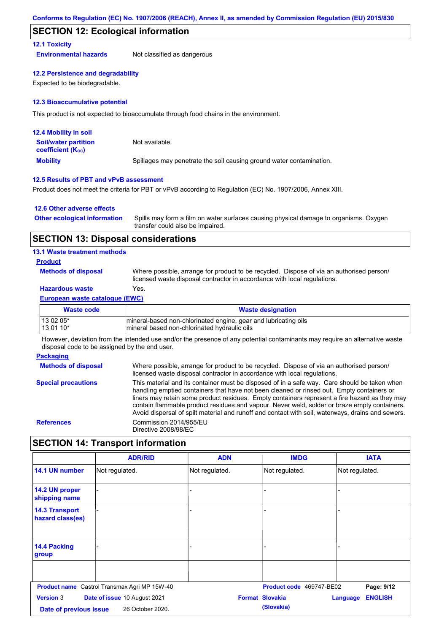### **SECTION 12: Ecological information**

#### **12.1 Toxicity**

**Environmental hazards** Not classified as dangerous

#### **12.2 Persistence and degradability**

Expected to be biodegradable.

#### **12.3 Bioaccumulative potential**

This product is not expected to bioaccumulate through food chains in the environment.

| <b>12.4 Mobility in soil</b>                            |                                                                      |
|---------------------------------------------------------|----------------------------------------------------------------------|
| <b>Soil/water partition</b><br><b>coefficient (Koc)</b> | Not available.                                                       |
| <b>Mobility</b>                                         | Spillages may penetrate the soil causing ground water contamination. |

#### **12.5 Results of PBT and vPvB assessment**

Product does not meet the criteria for PBT or vPvB according to Regulation (EC) No. 1907/2006, Annex XIII.

#### **12.6 Other adverse effects**

| <b>Other ecological information</b> | Spills may form a film on water surfaces causing physical damage to organisms. Oxygen<br>transfer could also be impaired. |
|-------------------------------------|---------------------------------------------------------------------------------------------------------------------------|
|                                     |                                                                                                                           |

### **SECTION 13: Disposal considerations**

#### **13.1 Waste treatment methods**

#### **Product**

**Methods of disposal**

Where possible, arrange for product to be recycled. Dispose of via an authorised person/ licensed waste disposal contractor in accordance with local regulations.

### **Hazardous waste** Yes.

#### **European waste catalogue (EWC)**

| Waste code | <b>Waste designation</b>                                         |
|------------|------------------------------------------------------------------|
| 13 02 05*  | Imineral-based non-chlorinated engine, gear and lubricating oils |
| 13 01 10*  | Imineral based non-chlorinated hydraulic oils                    |

However, deviation from the intended use and/or the presence of any potential contaminants may require an alternative waste disposal code to be assigned by the end user.

#### **Packaging**

**Methods of disposal Special precautions** Where possible, arrange for product to be recycled. Dispose of via an authorised person/ licensed waste disposal contractor in accordance with local regulations. This material and its container must be disposed of in a safe way. Care should be taken when handling emptied containers that have not been cleaned or rinsed out. Empty containers or liners may retain some product residues. Empty containers represent a fire hazard as they may contain flammable product residues and vapour. Never weld, solder or braze empty containers. Avoid dispersal of spilt material and runoff and contact with soil, waterways, drains and sewers. **References** Commission 2014/955/EU Directive 2008/98/EC

### **SECTION 14: Transport information**

|                                           | <b>ADR/RID</b>                                      | <b>ADN</b>     | <b>IMDG</b>              | <b>IATA</b>                |
|-------------------------------------------|-----------------------------------------------------|----------------|--------------------------|----------------------------|
| 14.1 UN number                            | Not regulated.                                      | Not regulated. | Not regulated.           | Not regulated.             |
| 14.2 UN proper<br>shipping name           |                                                     | -              |                          |                            |
| <b>14.3 Transport</b><br>hazard class(es) |                                                     |                |                          |                            |
| 14.4 Packing<br>group                     |                                                     | -              |                          |                            |
|                                           |                                                     |                |                          |                            |
|                                           | <b>Product name</b> Castrol Transmax Agri MP 15W-40 |                | Product code 469747-BE02 | Page: 9/12                 |
| <b>Version 3</b>                          | Date of issue 10 August 2021                        |                | <b>Format Slovakia</b>   | <b>ENGLISH</b><br>Language |
| Date of previous issue                    | 26 October 2020.                                    |                | (Slovakia)               |                            |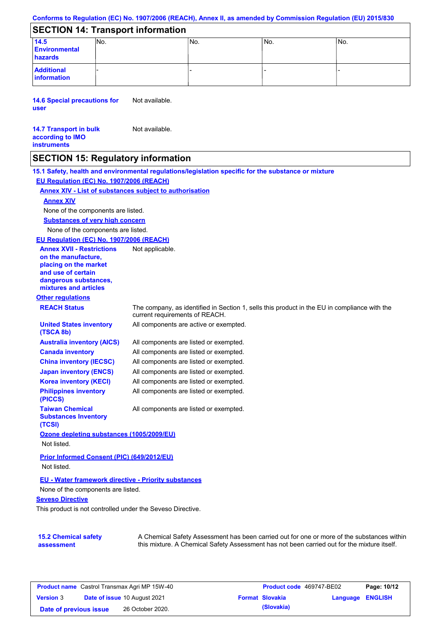#### **Conforms to Regulation (EC) No. 1907/2006 (REACH), Annex II, as amended by Commission Regulation (EU) 2015/830**

## **SECTION 14: Transport information**

| 14.5<br><b>Environmental</b><br>hazards | INO. | INo. | INo. | INo. |
|-----------------------------------------|------|------|------|------|
| <b>Additional</b><br>information        |      |      |      |      |

**14.6 Special precautions for user** Not available.

#### **14.7 Transport in bulk according to IMO instruments** Not available.

### **SECTION 15: Regulatory information**

**15.1 Safety, health and environmental regulations/legislation specific for the substance or mixture EU Regulation (EC) No. 1907/2006 (REACH)**

#### **Annex XIV - List of substances subject to authorisation**

#### **Annex XIV**

None of the components are listed.

**Substances of very high concern**

None of the components are listed.

#### **EU Regulation (EC) No. 1907/2006 (REACH)**

**Other regulations REACH Status** The company, as identified in Section 1, sells this product in the EU in compliance with the current requirements of REACH. All components are listed or exempted. All components are listed or exempted. All components are listed or exempted. All components are listed or exempted. All components are active or exempted. All components are listed or exempted. All components are listed or exempted. **United States inventory (TSCA 8b) Australia inventory (AICS) Canada inventory China inventory (IECSC) Japan inventory (ENCS) Korea inventory (KECI) Philippines inventory (PICCS) Taiwan Chemical Substances Inventory (TCSI)** All components are listed or exempted. **Ozone depleting substances (1005/2009/EU)** Not listed. **Prior Informed Consent (PIC) (649/2012/EU)** Not listed. **Annex XVII - Restrictions on the manufacture, placing on the market and use of certain dangerous substances, mixtures and articles** Not applicable.

#### **EU - Water framework directive - Priority substances**

None of the components are listed.

#### **Seveso Directive**

This product is not controlled under the Seveso Directive.

| <b>15.2 Chemical safety</b> |  |
|-----------------------------|--|
| assessment                  |  |

A Chemical Safety Assessment has been carried out for one or more of the substances within this mixture. A Chemical Safety Assessment has not been carried out for the mixture itself.

| <b>Product name</b> Castrol Transmax Agri MP 15W-40 |  | <b>Product code</b> 469747-BE02     |  | Page: 10/12            |                  |  |
|-----------------------------------------------------|--|-------------------------------------|--|------------------------|------------------|--|
| <b>Version 3</b>                                    |  | <b>Date of issue 10 August 2021</b> |  | <b>Format Slovakia</b> | Language ENGLISH |  |
| Date of previous issue                              |  | 26 October 2020.                    |  | (Slovakia)             |                  |  |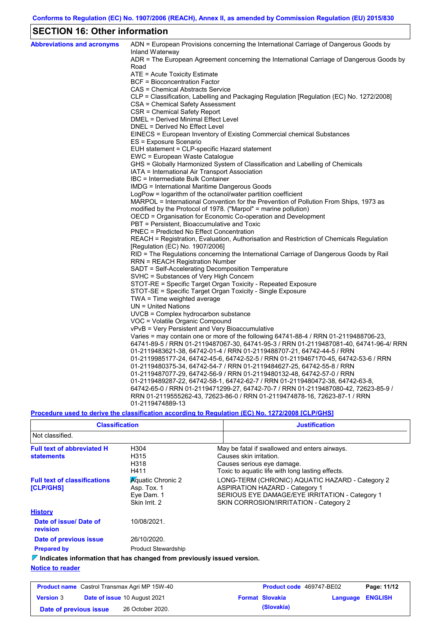# **SECTION 16: Other information**

| <b>Abbreviations and acronyms</b> | ADN = European Provisions concerning the International Carriage of Dangerous Goods by<br>Inland Waterway |
|-----------------------------------|----------------------------------------------------------------------------------------------------------|
|                                   | ADR = The European Agreement concerning the International Carriage of Dangerous Goods by                 |
|                                   | Road                                                                                                     |
|                                   | ATE = Acute Toxicity Estimate                                                                            |
|                                   | BCF = Bioconcentration Factor                                                                            |
|                                   | CAS = Chemical Abstracts Service                                                                         |
|                                   | CLP = Classification, Labelling and Packaging Regulation [Regulation (EC) No. 1272/2008]                 |
|                                   | CSA = Chemical Safety Assessment                                                                         |
|                                   | CSR = Chemical Safety Report                                                                             |
|                                   | DMEL = Derived Minimal Effect Level                                                                      |
|                                   | DNEL = Derived No Effect Level                                                                           |
|                                   | EINECS = European Inventory of Existing Commercial chemical Substances                                   |
|                                   | ES = Exposure Scenario                                                                                   |
|                                   | EUH statement = CLP-specific Hazard statement                                                            |
|                                   | EWC = European Waste Catalogue                                                                           |
|                                   | GHS = Globally Harmonized System of Classification and Labelling of Chemicals                            |
|                                   | IATA = International Air Transport Association                                                           |
|                                   | IBC = Intermediate Bulk Container<br>IMDG = International Maritime Dangerous Goods                       |
|                                   | LogPow = logarithm of the octanol/water partition coefficient                                            |
|                                   | MARPOL = International Convention for the Prevention of Pollution From Ships, 1973 as                    |
|                                   | modified by the Protocol of 1978. ("Marpol" = marine pollution)                                          |
|                                   | OECD = Organisation for Economic Co-operation and Development                                            |
|                                   | PBT = Persistent, Bioaccumulative and Toxic                                                              |
|                                   | PNEC = Predicted No Effect Concentration                                                                 |
|                                   | REACH = Registration, Evaluation, Authorisation and Restriction of Chemicals Regulation                  |
|                                   | [Regulation (EC) No. 1907/2006]                                                                          |
|                                   | RID = The Regulations concerning the International Carriage of Dangerous Goods by Rail                   |
|                                   | RRN = REACH Registration Number                                                                          |
|                                   | SADT = Self-Accelerating Decomposition Temperature                                                       |
|                                   | SVHC = Substances of Very High Concern                                                                   |
|                                   | STOT-RE = Specific Target Organ Toxicity - Repeated Exposure                                             |
|                                   | STOT-SE = Specific Target Organ Toxicity - Single Exposure                                               |
|                                   | TWA = Time weighted average                                                                              |
|                                   | $UN = United Nations$                                                                                    |
|                                   | UVCB = Complex hydrocarbon substance                                                                     |
|                                   | VOC = Volatile Organic Compound                                                                          |
|                                   | vPvB = Very Persistent and Very Bioaccumulative                                                          |
|                                   | Varies = may contain one or more of the following 64741-88-4 / RRN 01-2119488706-23,                     |
|                                   | 64741-89-5 / RRN 01-2119487067-30, 64741-95-3 / RRN 01-2119487081-40, 64741-96-4/ RRN                    |
|                                   | 01-2119483621-38, 64742-01-4 / RRN 01-2119488707-21, 64742-44-5 / RRN                                    |
|                                   | 01-2119985177-24, 64742-45-6, 64742-52-5 / RRN 01-2119467170-45, 64742-53-6 / RRN                        |
|                                   | 01-2119480375-34, 64742-54-7 / RRN 01-2119484627-25, 64742-55-8 / RRN                                    |
|                                   | 01-2119487077-29, 64742-56-9 / RRN 01-2119480132-48, 64742-57-0 / RRN                                    |
|                                   | 01-2119489287-22, 64742-58-1, 64742-62-7 / RRN 01-2119480472-38, 64742-63-8,                             |
|                                   | 64742-65-0 / RRN 01-2119471299-27, 64742-70-7 / RRN 01-2119487080-42, 72623-85-9 /                       |
|                                   | RRN 01-2119555262-43, 72623-86-0 / RRN 01-2119474878-16, 72623-87-1 / RRN                                |
|                                   | 01-2119474889-13                                                                                         |

### **Procedure used to derive the classification according to Regulation (EC) No. 1272/2008 [CLP/GHS]**

| <b>Classification</b>                                                           |                                                                        | <b>Justification</b>                                                                                                                                                                 |
|---------------------------------------------------------------------------------|------------------------------------------------------------------------|--------------------------------------------------------------------------------------------------------------------------------------------------------------------------------------|
| Not classified.                                                                 |                                                                        |                                                                                                                                                                                      |
| <b>Full text of abbreviated H</b><br><b>statements</b>                          | H <sub>304</sub><br>H315<br>H318<br>H411                               | May be fatal if swallowed and enters airways.<br>Causes skin irritation.<br>Causes serious eye damage.<br>Toxic to aquatic life with long lasting effects.                           |
| <b>Full text of classifications</b><br><b>[CLP/GHS]</b>                         | <b>Aquatic Chronic 2</b><br>Asp. Tox. 1<br>Eye Dam. 1<br>Skin Irrit. 2 | LONG-TERM (CHRONIC) AQUATIC HAZARD - Category 2<br><b>ASPIRATION HAZARD - Category 1</b><br>SERIOUS EYE DAMAGE/EYE IRRITATION - Category 1<br>SKIN CORROSION/IRRITATION - Category 2 |
| <b>History</b>                                                                  |                                                                        |                                                                                                                                                                                      |
| Date of issue/Date of<br>revision                                               | 10/08/2021.                                                            |                                                                                                                                                                                      |
| Date of previous issue                                                          | 26/10/2020.                                                            |                                                                                                                                                                                      |
| <b>Prepared by</b>                                                              | <b>Product Stewardship</b>                                             |                                                                                                                                                                                      |
| $\nabla$ Indicates information that has changed from previously issued version. |                                                                        |                                                                                                                                                                                      |

#### **Notice to reader**

| <b>Product name</b> Castrol Transmax Agri MP 15W-40 |  |                                     | <b>Product code 469747-BE02</b> |                        | Page: 11/12             |  |
|-----------------------------------------------------|--|-------------------------------------|---------------------------------|------------------------|-------------------------|--|
| <b>Version 3</b>                                    |  | <b>Date of issue 10 August 2021</b> |                                 | <b>Format Slovakia</b> | <b>Language ENGLISH</b> |  |
| Date of previous issue                              |  | 26 October 2020.                    |                                 | (Slovakia)             |                         |  |